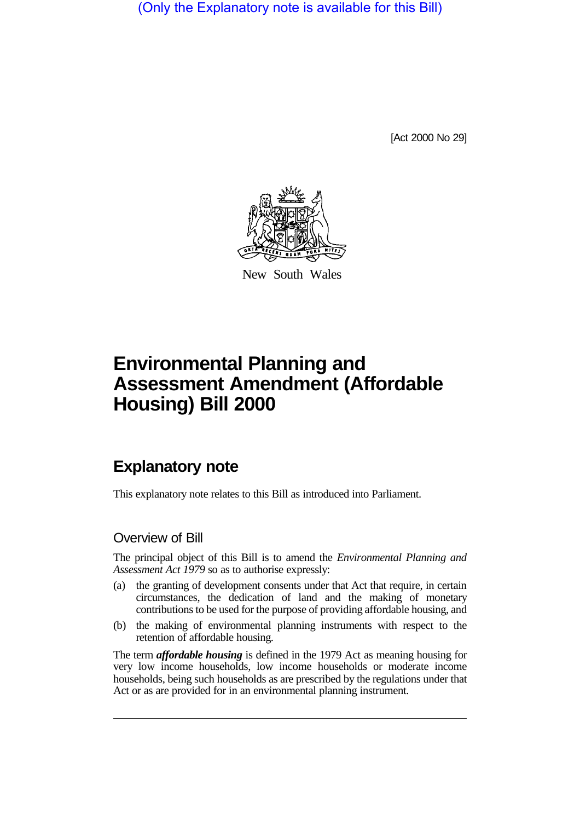(Only the Explanatory note is available for this Bill)

[Act 2000 No 29]



New South Wales

# **Environmental Planning and Assessment Amendment (Affordable Housing) Bill 2000**

# **Explanatory note**

This explanatory note relates to this Bill as introduced into Parliament.

### Overview of Bill

The principal object of this Bill is to amend the *Environmental Planning and Assessment Act 1979* so as to authorise expressly:

- (a) the granting of development consents under that Act that require, in certain circumstances, the dedication of land and the making of monetary contributions to be used for the purpose of providing affordable housing, and
- (b) the making of environmental planning instruments with respect to the retention of affordable housing.

The term *affordable housing* is defined in the 1979 Act as meaning housing for very low income households, low income households or moderate income households, being such households as are prescribed by the regulations under that Act or as are provided for in an environmental planning instrument.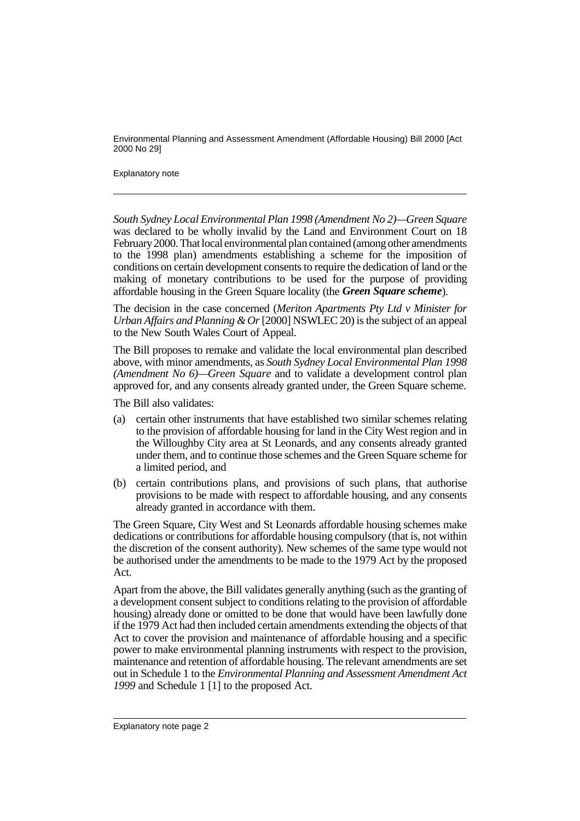#### Explanatory note

*South Sydney Local Environmental Plan 1998 (Amendment No 2)—Green Square* was declared to be wholly invalid by the Land and Environment Court on 18 February 2000. That local environmental plan contained (among other amendments to the 1998 plan) amendments establishing a scheme for the imposition of conditions on certain development consents to require the dedication of land or the making of monetary contributions to be used for the purpose of providing affordable housing in the Green Square locality (the *Green Square scheme*).

The decision in the case concerned (*Meriton Apartments Pty Ltd v Minister for Urban Affairs and Planning & Or* [2000] NSWLEC 20) is the subject of an appeal to the New South Wales Court of Appeal.

The Bill proposes to remake and validate the local environmental plan described above, with minor amendments, as *South Sydney Local Environmental Plan 1998 (Amendment No 6)—Green Square* and to validate a development control plan approved for, and any consents already granted under, the Green Square scheme.

The Bill also validates:

- (a) certain other instruments that have established two similar schemes relating to the provision of affordable housing for land in the City West region and in the Willoughby City area at St Leonards, and any consents already granted under them, and to continue those schemes and the Green Square scheme for a limited period, and
- (b) certain contributions plans, and provisions of such plans, that authorise provisions to be made with respect to affordable housing, and any consents already granted in accordance with them.

The Green Square, City West and St Leonards affordable housing schemes make dedications or contributions for affordable housing compulsory (that is, not within the discretion of the consent authority). New schemes of the same type would not be authorised under the amendments to be made to the 1979 Act by the proposed Act.

Apart from the above, the Bill validates generally anything (such as the granting of a development consent subject to conditions relating to the provision of affordable housing) already done or omitted to be done that would have been lawfully done if the 1979 Act had then included certain amendments extending the objects of that Act to cover the provision and maintenance of affordable housing and a specific power to make environmental planning instruments with respect to the provision, maintenance and retention of affordable housing. The relevant amendments are set out in Schedule 1 to the *Environmental Planning and Assessment Amendment Act 1999* and Schedule 1 [1] to the proposed Act.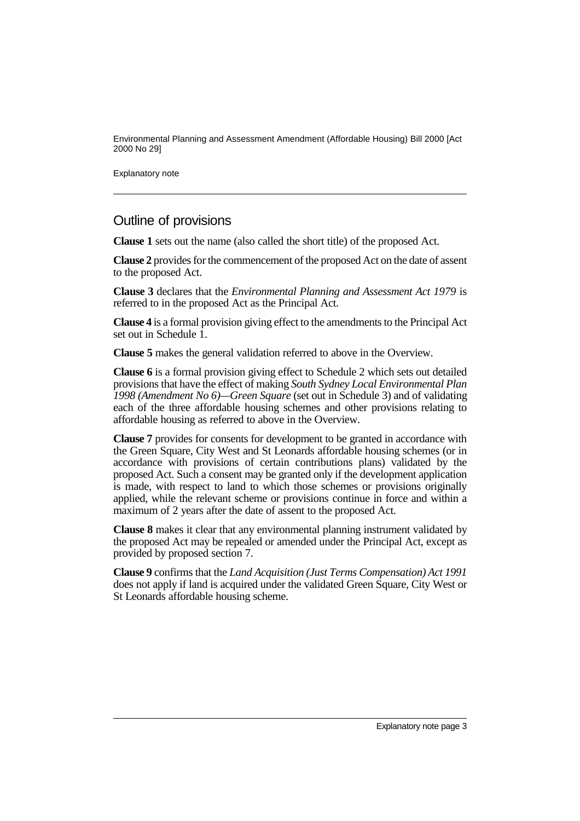Explanatory note

### Outline of provisions

**Clause 1** sets out the name (also called the short title) of the proposed Act.

**Clause 2** provides for the commencement of the proposed Act on the date of assent to the proposed Act.

**Clause 3** declares that the *Environmental Planning and Assessment Act 1979* is referred to in the proposed Act as the Principal Act.

**Clause 4** is a formal provision giving effect to the amendments to the Principal Act set out in Schedule 1.

**Clause 5** makes the general validation referred to above in the Overview.

**Clause 6** is a formal provision giving effect to Schedule 2 which sets out detailed provisions that have the effect of making *South Sydney Local Environmental Plan 1998 (Amendment No 6)—Green Square* (set out in Schedule 3) and of validating each of the three affordable housing schemes and other provisions relating to affordable housing as referred to above in the Overview.

**Clause 7** provides for consents for development to be granted in accordance with the Green Square, City West and St Leonards affordable housing schemes (or in accordance with provisions of certain contributions plans) validated by the proposed Act. Such a consent may be granted only if the development application is made, with respect to land to which those schemes or provisions originally applied, while the relevant scheme or provisions continue in force and within a maximum of 2 years after the date of assent to the proposed Act.

**Clause 8** makes it clear that any environmental planning instrument validated by the proposed Act may be repealed or amended under the Principal Act, except as provided by proposed section 7.

**Clause 9** confirms that the *Land Acquisition (Just Terms Compensation) Act 1991* does not apply if land is acquired under the validated Green Square, City West or St Leonards affordable housing scheme.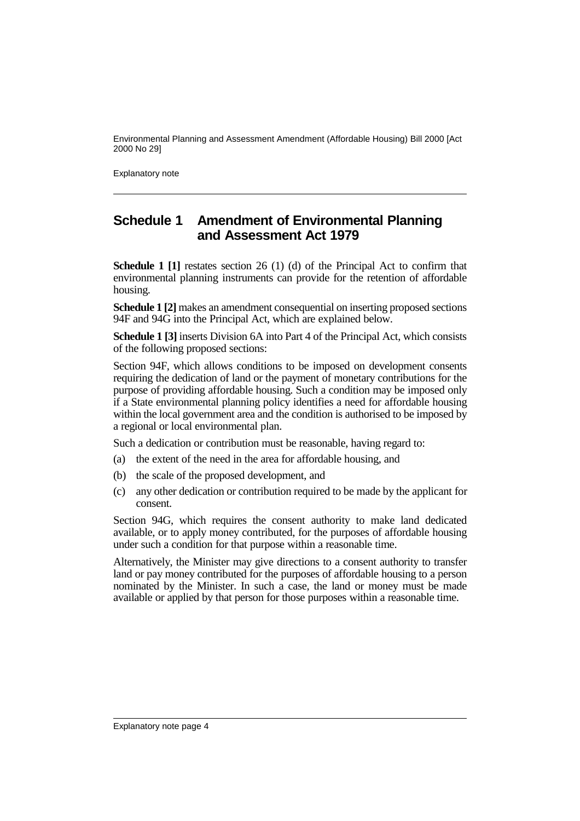Explanatory note

# **Schedule 1 Amendment of Environmental Planning and Assessment Act 1979**

**Schedule 1 [1]** restates section 26 (1) (d) of the Principal Act to confirm that environmental planning instruments can provide for the retention of affordable housing.

**Schedule 1 [2]** makes an amendment consequential on inserting proposed sections 94F and 94G into the Principal Act, which are explained below.

**Schedule 1 [3]** inserts Division 6A into Part 4 of the Principal Act, which consists of the following proposed sections:

Section 94F, which allows conditions to be imposed on development consents requiring the dedication of land or the payment of monetary contributions for the purpose of providing affordable housing. Such a condition may be imposed only if a State environmental planning policy identifies a need for affordable housing within the local government area and the condition is authorised to be imposed by a regional or local environmental plan.

Such a dedication or contribution must be reasonable, having regard to:

(a) the extent of the need in the area for affordable housing, and

- (b) the scale of the proposed development, and
- (c) any other dedication or contribution required to be made by the applicant for consent.

Section 94G, which requires the consent authority to make land dedicated available, or to apply money contributed, for the purposes of affordable housing under such a condition for that purpose within a reasonable time.

Alternatively, the Minister may give directions to a consent authority to transfer land or pay money contributed for the purposes of affordable housing to a person nominated by the Minister. In such a case, the land or money must be made available or applied by that person for those purposes within a reasonable time.